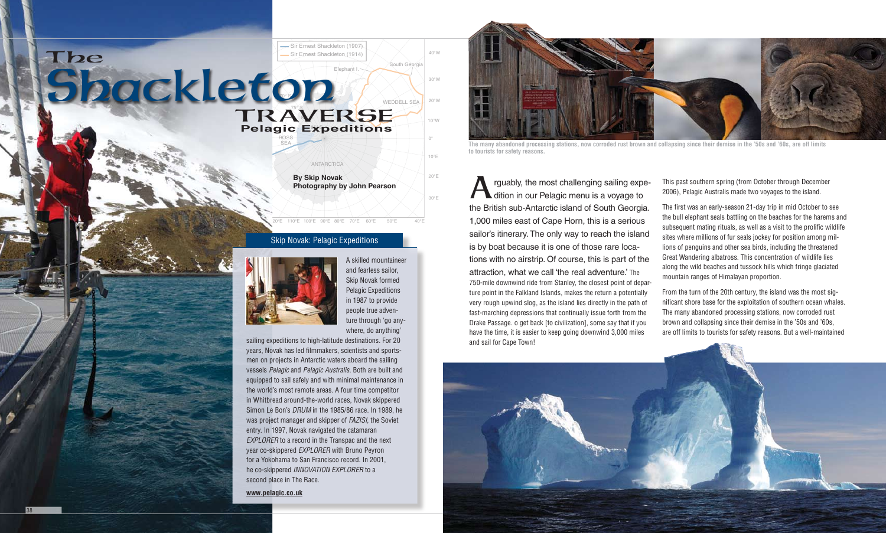160°E

 $150$ 

140°E

40°W

30°W

20°W

10°W

10°E

20°E

30°E

40°E

0°

130°E 120°E 110°E 100°E 90°E 80°E 70°E 60°E 50°E

Pelagic Expeditions



ROSS SEA

## Skip Novak: Pelagic Expeditions

ANTARCTICA **By Skip Novak**

## Sir Ernest Shackleton (1907) Sir Ernest Shackleton (1914)  $\epsilon$ 65° S 70° S 75° S 8 V S Elephant South Georg  $150^{\circ}$  $\mathbf{L}$ WEDDELL SEA Shackleton TRAVERSE The

**Photography by John Pearson**  $20^{\circ}E$ <br>  $30^{\circ}E$ <br> **Arguably, the most challenging sailing experience of the most challenging sailing experience of the most challenging sailing experience of the most challenging sailing e** the British sub-Antarctic island of South Georgia. 1,000 miles east of Cape Horn, this is a serious sailor's itinerary. The only way to reach the island is by boat because it is one of those rare locations with no airstrip. Of course, this is part of the attraction, what we call 'the real adventure.' The 750-mile downwind ride from Stanley, the closest point of departure point in the Falkland Islands, makes the return a potentially very rough upwind slog, as the island lies directly in the path of fast-marching depressions that continually issue forth from the Drake Passage. o get back [to civilization], some say that if you have the time, it is easier to keep going downwind 3,000 miles and sail for Cape Town! This past southern spring (from October through December 2006), Pelagic Australis made two voyages to the island. The first was an early-season 21-day trip in mid October to see the bull elephant seals battling on the beaches for the harems and subsequent mating rituals, as well as a visit to the prolific wildlife sites where millions of fur seals jockey for position among millions of penguins and other sea birds, including the threatened Great Wandering albatross. This concentration of wildlife lies along the wild beaches and tussock hills which fringe glaciated mountain ranges of Himalayan proportion. From the turn of the 20th century, the island was the most significant shore base for the exploitation of southern ocean whales. The many abandoned processing stations, now corroded rust brown and collapsing since their demise in the '50s and '60s, are off limits to tourists for safety reasons. But a well-maintained





**The many abandoned processing stations, now corroded rust brown and collapsing since their demise in the '50s and '60s, are off limits to tourists for safety reasons.**

A skilled mountaineer and fearless sailor, Skip Novak formed Pelagic Expeditions in 1987 to provide people true adventure through 'go anywhere, do anything'

sailing expeditions to high-latitude destinations. For 20 years, Novak has led filmmakers, scientists and sportsmen on projects in Antarctic waters aboard the sailing vessels *Pelagic* and *Pelagic Australis*. Both are built and equipped to sail safely and with minimal maintenance in the world's most remote areas. A four time competitor in Whitbread around-the-world races, Novak skippered Simon Le Bon's *DRUM* in the 1985/86 race. In 1989, he was project manager and skipper of *FAZISI*, the Soviet entry. In 1997, Novak navigated the catamaran *EXPLORER* to a record in the Transpac and the next year co-skippered *EXPLORER* with Bruno Peyron for a Yokohama to San Francisco record. In 2001, he co-skippered *INNOVATION EXPLORER* to a second place in The Race.

**www.pelagic.co.uk**